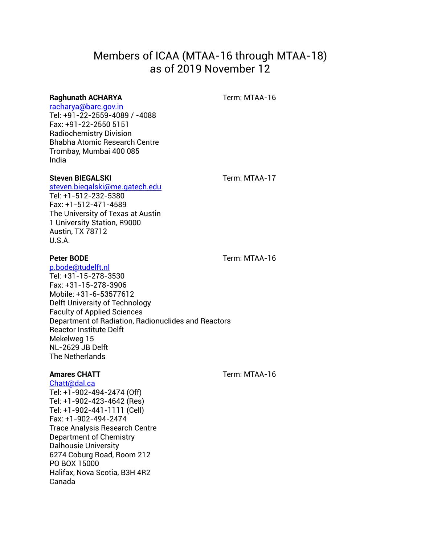# Members of ICAA (MTAA-16 through MTAA-18) as of 2019 November 12

### **Raghunath ACHARYA Term: MTAA-16**

# [racharya@barc.gov.in](mailto:racharya@barc.gov.in)

Tel: +91-22-2559-4089 / -4088 Fax: +91-22-2550 5151 Radiochemistry Division Bhabha Atomic Research Centre Trombay, Mumbai 400 085 India

### **Steven BIEGALSKI Term: MTAA-17**

[steven.biegalski@me.gatech.edu](mailto:steven.biegalski@me.gatech.edu)  Tel: +1-512-232-5380 Fax: +1-512-471-4589 The University of Texas at Austin 1 University Station, R9000 Austin, TX 78712 U.S.A.

**Peter BODE Term: MTAA-16** 

[p.bode@tudelft.nl](mailto:p.bode@tudelft.nl) Tel: +31-15-278-3530 Fax: +31-15-278-3906 Mobile: +31-6-53577612 Delft University of Technology Faculty of Applied Sciences Department of Radiation, Radionuclides and Reactors Reactor Institute Delft Mekelweg 15 NL-2629 JB Delft The Netherlands

[Chatt@dal.ca](mailto:Chatt@dal.ca) Tel: +1-902-494-2474 (Off) Tel: +1-902-423-4642 (Res) Tel: +1-902-441-1111 (Cell) Fax: +1-902-494-2474 Trace Analysis Research Centre Department of Chemistry Dalhousie University 6274 Coburg Road, Room 212 PO BOX 15000 Halifax, Nova Scotia, B3H 4R2 Canada

**Amares CHATT CONSUMING THE STATE OF THE STATE OF THE STATE OF THE STATE OF THE STATE OF THE STATE OF THE STATE OF THE STATE OF THE STATE OF THE STATE OF THE STATE OF THE STATE OF THE STATE OF THE STATE OF THE STATE OF T**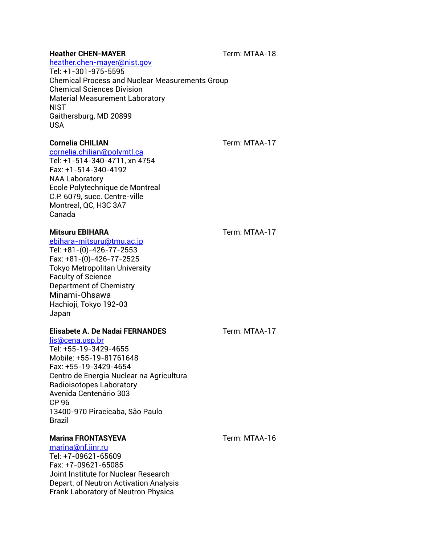# **Heather CHEN-MAYER Term: MTAA-18**

#### [heather.chen-mayer@nist.gov](mailto:heather.chen-mayer@nist.gov)

Tel: +1-301-975-5595 Chemical Process and Nuclear Measurements Group Chemical Sciences Division Material Measurement Laboratory **NIST** Gaithersburg, MD 20899 USA

#### **Cornelia CHILIAN CORPORE CORPORE TERM: MTAA-17**

[cornelia.chilian@polymtl.ca](mailto:cornelia.chilian@polymtl.ca)

Tel: +1-514-340-4711, xn 4754 Fax: +1-514-340-4192 NAA Laboratory Ecole Polytechnique de Montreal C.P. 6079, succ. Centre-ville Montreal, QC, H3C 3A7 Canada

### **Mitsuru EBIHARA Term: MTAA-17**

[ebihara-mitsuru@tmu.ac.jp](mailto:ebihara-mitsuru@tmu.ac.jp) Tel: +81-(0)-426-77-2553 Fax: +81-(0)-426-77-2525 Tokyo Metropolitan University Faculty of Science Department of Chemistry Minami-Ohsawa Hachioji, Tokyo 192-03 Japan

## **Elisabete A. De Nadai FERNANDES** Term: MTAA-17

[lis@cena.usp.br](mailto:lis@cena.usp.br) Tel: +55-19-3429-4655 Mobile: +55-19-81761648 Fax: +55-19-3429-4654 Centro de Energia Nuclear na Agricultura Radioisotopes Laboratory Avenida Centenário 303 CP 96 13400-970 Piracicaba, São Paulo Brazil

# **Marina FRONTASYEVA Term: MTAA-16**

[marina@nf.jinr.ru](mailto:marina@nf.jinr.ru) Tel: +7-09621-65609 Fax: +7-09621-65085 Joint Institute for Nuclear Research Depart. of Neutron Activation Analysis Frank Laboratory of Neutron Physics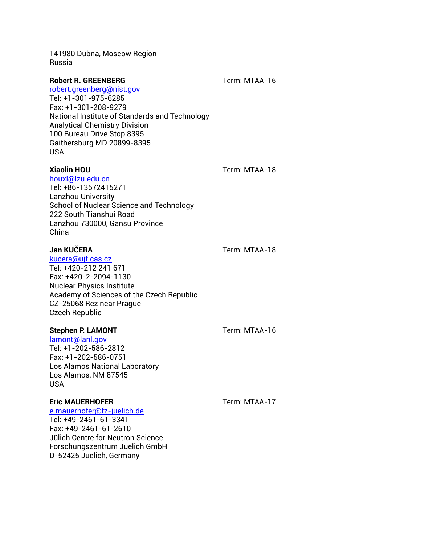141980 Dubna, Moscow Region Russia

### **Robert R. GREENBERG** Term: MTAA-16

[robert.greenberg@nist.gov](mailto:robert.greenberg@nist.gov) Tel: +1-301-975-6285 Fax: +1-301-208-9279 National Institute of Standards and Technology Analytical Chemistry Division 100 Bureau Drive Stop 8395 Gaithersburg MD 20899-8395 USA

**Xiaolin HOU** Term: MTAA-18

[houxl@lzu.edu.cn](mailto:houxl@lzu.edu.cn) Tel: +86-13572415271 Lanzhou University School of Nuclear Science and Technology 222 South Tianshui Road Lanzhou 730000, Gansu Province China

# **Jan KUČERA** Term: MTAA-18

[kucera@ujf.cas.cz](mailto:kucera@ujf.cas.cz) Tel: +420-212 241 671 Fax: +420-2-2094-1130 Nuclear Physics Institute Academy of Sciences of the Czech Republic CZ-25068 Rez near Prague Czech Republic

## **Stephen P. LAMONT** Term: MTAA-16

[lamont@lanl.gov](mailto:lamont@lanl.gov) Tel: +1-202-586-2812 Fax: +1-202-586-0751 Los Alamos National Laboratory Los Alamos, NM 87545 USA

# **Eric MAUERHOFER Term: MTAA-17**

[e.mauerhofer@fz-juelich.de](mailto:e.mauerhofer@fz-juelich.de) Tel: +49-2461-61-3341 Fax: +49-2461-61-2610 Jülich Centre for Neutron Science Forschungszentrum Juelich GmbH D-52425 Juelich, Germany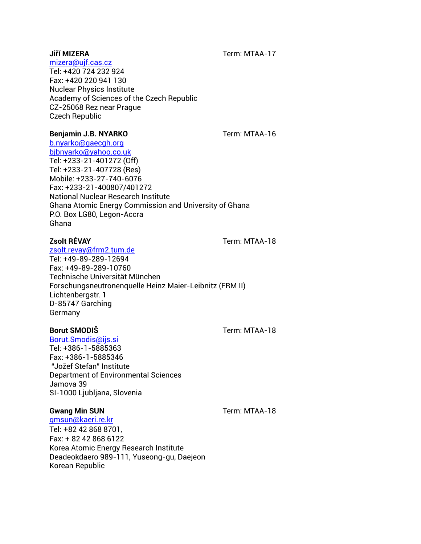**Jiří MIZERA** Term: MTAA-17

## [mizera@ujf.cas.cz](mailto:mizera@ujf.cas.cz)

Tel: +420 724 232 924 Fax: +420 220 941 130 Nuclear Physics Institute Academy of Sciences of the Czech Republic CZ-25068 Rez near Prague Czech Republic

#### **Benjamin J.B. NYARKO Term: MTAA-16**

# [b.nyarko@gaecgh.org](mailto:b.nyarko@gaecgh.org)

[bjbnyarko@yahoo.co.uk](mailto:bjbnyarko@yahoo.co.uk) Tel: +233-21-401272 (Off) Tel: +233-21-407728 (Res) Mobile: +233-27-740-6076 Fax: +233-21-400807/401272 National Nuclear Research Institute Ghana Atomic Energy Commission and University of Ghana P.O. Box LG80, Legon-Accra Ghana

#### [zsolt.revay@frm2.tum.de](mailto:zsolt.revay@frm2.tum.de)

Tel: +49-89-289-12694 Fax: +49-89-289-10760 Technische Universität München Forschungsneutronenquelle Heinz Maier-Leibnitz (FRM II) Lichtenbergstr. 1 D-85747 Garching Germany

### **Borut SMODIS Borut SMODIS**

# [Borut.Smodis@ijs.si](mailto:Borut.Smodis@ijs.si)

Tel: +386-1-5885363 Fax: +386-1-5885346 "Jožef Stefan" Institute Department of Environmental Sciences Jamova 39 SI-1000 Ljubljana, Slovenia

### **Gwang Min SUN Gwang Min SUN**

[gmsun@kaeri.re.kr](mailto:gmsun@kaeri.re.kr) Tel: +82 42 868 8701, Fax: + 82 42 868 6122 Korea Atomic Energy Research Institute Deadeokdaero 989-111, Yuseong-gu, Daejeon Korean Republic

**Zsolt RÉVAY**  Term: MTAA-18